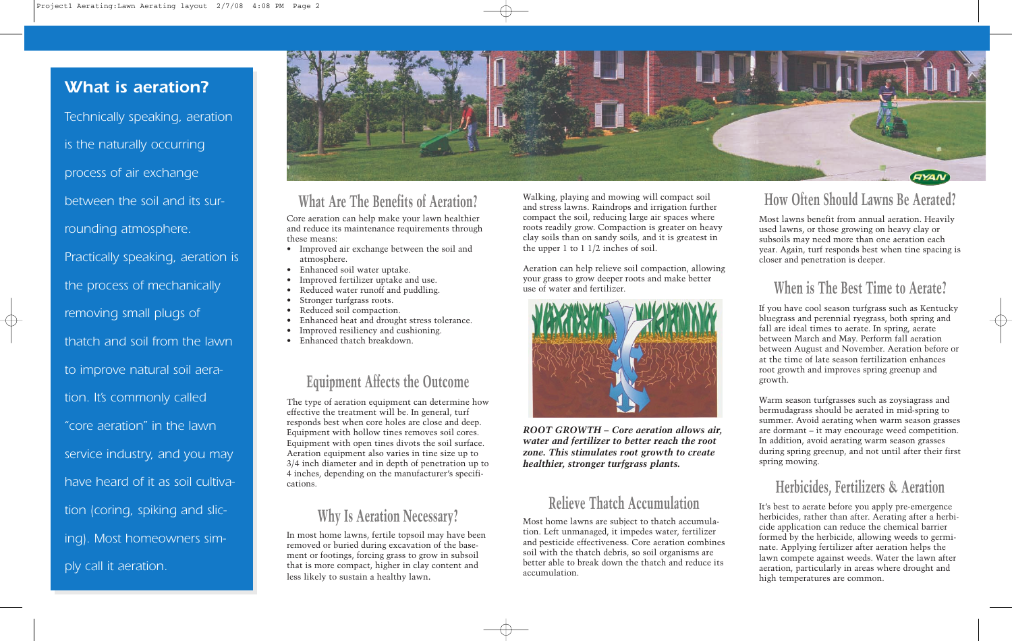# **What is aeration? What is aeration?**

Technically speaking, aeration Technically speaking, aeration is the naturally occurring is the naturally occurring process of air exchange process of air exchange between the soil and its sur-between the soil and its surrounding atmosphere. rounding atmosphere. Practically speaking, aeration is Practically speaking, aeration is the process of mechanically the process of mechanically removing small plugs of removing small plugs of thatch and soil from the lawn thatch and soil from the lawn to improve natural soil aera-to improve natural soil aeration. It's commonly called tion. It's commonly called "core aeration" in the lawn "core aeration" in the lawn service industry, and you may service industry, and you may have heard of it as soil cultiva-have heard of it as soil cultivation (coring, spiking and slic-tion (coring, spiking and slicing). Most homeowners sim-ing). Most homeowners simply call it aeration. ply call it aeration.



#### **What Are The Benefits of Aeration?**

Core aeration can help make your lawn healthier and reduce its maintenance requirements through these means:

- Improved air exchange between the soil and atmosphere.
- Enhanced soil water uptake.
- Improved fertilizer uptake and use.
- Reduced water runoff and puddling.
- Stronger turfgrass roots.
- Reduced soil compaction. Enhanced heat and drought stress tolerance.
- Improved resiliency and cushioning.
- 
- Enhanced thatch breakdown.

#### **Equipment Affects the Outcome**

The type of aeration equipment can determine how effective the treatment will be. In general, turf responds best when core holes are close and deep. Equipment with hollow tines removes soil cores. Equipment with open tines divots the soil surface. Aeration equipment also varies in tine size up to 3/4 inch diameter and in depth of penetration up to 4 inches, depending on the manufacturer's specifications.

# **Why Is Aeration Necessary?**

In most home lawns, fertile topsoil may have been removed or buried during excavation of the basement or footings, forcing grass to grow in subsoil that is more compact, higher in clay content and less likely to sustain a healthy lawn.

Walking, playing and mowing will compact soil and stress lawns. Raindrops and irrigation further compact the soil, reducing large air spaces where roots readily grow. Compaction is greater on heavy clay soils than on sandy soils, and it is greatest in the upper 1 to 1 1/2 inches of soil.

Aeration can help relieve soil compaction, allowing your grass to grow deeper roots and make better use of water and fertilizer.



*ROOT GROWTH – Core aeration allows air, water and fertilizer to better reach the root zone. This stimulates root growth to create healthier, stronger turfgrass plants.*

### **Relieve Thatch Accumulation**

Most home lawns are subject to thatch accumulation. Left unmanaged, it impedes water, fertilizer and pesticide effectiveness. Core aeration combines soil with the thatch debris, so soil organisms are better able to break down the thatch and reduce its accumulation.

# **How Often Should Lawns Be Aerated?**

Most lawns benefit from annual aeration. Heavily used lawns, or those growing on heavy clay or subsoils may need more than one aeration each year. Again, turf responds best when tine spacing is closer and penetration is deeper.

## **When is The Best Time to Aerate?**

If you have cool season turfgrass such as Kentucky bluegrass and perennial ryegrass, both spring and fall are ideal times to aerate. In spring, aerate between March and May. Perform fall aeration between August and November. Aeration before or at the time of late season fertilization enhances root growth and improves spring greenup and growth.

Warm season turfgrasses such as zoysiagrass and bermudagrass should be aerated in mid-spring to summer. Avoid aerating when warm season grasses are dormant – it may encourage weed competition. In addition, avoid aerating warm season grasses during spring greenup, and not until after their first spring mowing.

## **Herbicides, Fertilizers & Aeration**

It's best to aerate before you apply pre-emergence herbicides, rather than after. Aerating after a herbicide application can reduce the chemical barrier formed by the herbicide, allowing weeds to germinate. Applying fertilizer after aeration helps the lawn compete against weeds. Water the lawn after aeration, particularly in areas where drought and high temperatures are common.